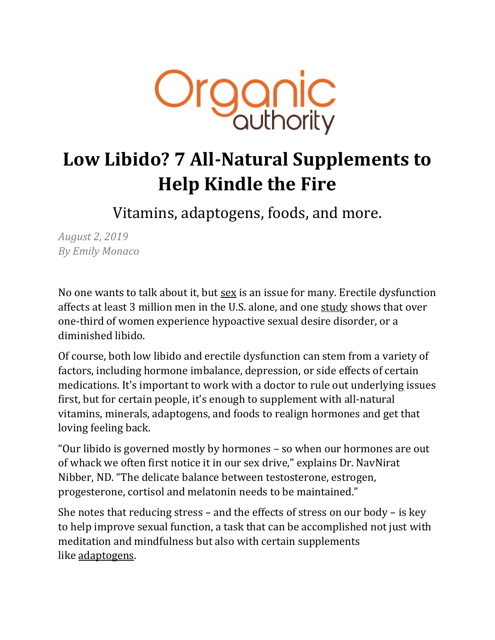

# **Low Libido? 7 All-Natural Supplements to Help Kindle the Fire**

Vitamins, adaptogens, foods, and more.

*August 2, 2019 By Emily Monaco*

No one wants to talk about it, but [sex](https://www.organicauthority.com/energetic-health/5-products-to-spice-up-your-sexual-wellness-routine) is an issue for many. Erectile dysfunction affects at least 3 million men in the U.S. alone, and one [study](https://www.sciencedirect.com/topics/neuroscience/hypoactive-sexual-desire-disorder) shows that over one-third of women experience hypoactive sexual desire disorder, or a diminished libido.

Of course, both low libido and erectile dysfunction can stem from a variety of factors, including hormone imbalance, depression, or side effects of certain medications. It's important to work with a doctor to rule out underlying issues first, but for certain people, it's enough to supplement with all-natural vitamins, minerals, adaptogens, and foods to realign hormones and get that loving feeling back.

"Our libido is governed mostly by hormones – so when our hormones are out of whack we often first notice it in our sex drive," explains Dr. NavNirat Nibber, ND. "The delicate balance between testosterone, estrogen, progesterone, cortisol and melatonin needs to be maintained."

She notes that reducing stress – and the effects of stress on our body – is key to help improve sexual function, a task that can be accomplished not just with meditation and mindfulness but also with certain supplements like [adaptogens.](https://www.organicauthority.com/energetic-health/every-single-adaptogenic-herb-out-there-try-all-13)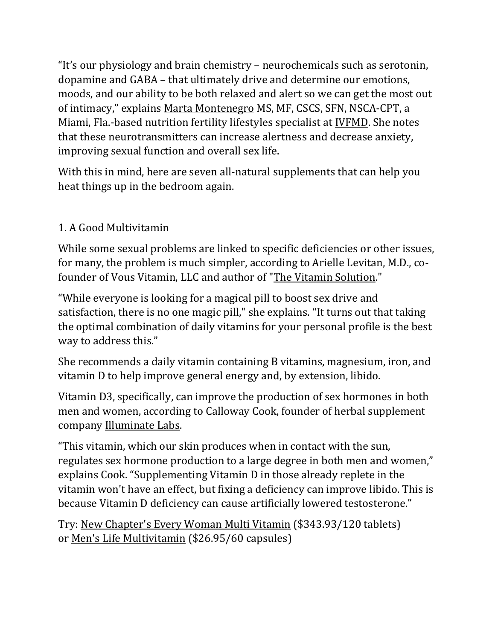"It's our physiology and brain chemistry – neurochemicals such as serotonin, dopamine and GABA – that ultimately drive and determine our emotions, moods, and our ability to be both relaxed and alert so we can get the most out of intimacy," explains [Marta Montenegro](https://www.ivfmd.com/about-us/providers/marta-montenegro/) MS, MF, CSCS, SFN, NSCA-CPT, a Miami, Fla.-based nutrition fertility lifestyles specialist at [IVFMD.](https://www.ivfmd.com/) She notes that these neurotransmitters can increase alertness and decrease anxiety, improving sexual function and overall sex life.

With this in mind, here are seven all-natural supplements that can help you heat things up in the bedroom again.

### 1. A Good Multivitamin

While some sexual problems are linked to specific deficiencies or other issues, for many, the problem is much simpler, according to Arielle Levitan, M.D., cofounder of Vous Vitamin, LLC and author of ["The Vitamin Solution.](https://rstyle.me/+G5js43nU4ecwr0VnB_DHdw)"

"While everyone is looking for a magical pill to boost sex drive and satisfaction, there is no one magic pill," she explains. "It turns out that taking the optimal combination of daily vitamins for your personal profile is the best way to address this."

She recommends a daily vitamin containing B vitamins, magnesium, iron, and vitamin D to help improve general energy and, by extension, libido.

Vitamin D3, specifically, can improve the production of sex hormones in both men and women, according to Calloway Cook, founder of herbal supplement company [Illuminate Labs.](https://illuminatelabs.io/)

"This vitamin, which our skin produces when in contact with the sun, regulates sex hormone production to a large degree in both men and women," explains Cook. "Supplementing Vitamin D in those already replete in the vitamin won't have an effect, but fixing a deficiency can improve libido. This is because Vitamin D deficiency can cause artificially lowered testosterone."

Try: [New Chapter's Every Woman Multi Vitamin](https://rstyle.me/+iyVT2P9YIAhZhcbMLK0Mpw) (\$343.93/120 tablets) or [Men's Life Multivitamin](https://rstyle.me/+zPJTYQ7bTZk1OylNPM6rPg) (\$26.95/60 capsules)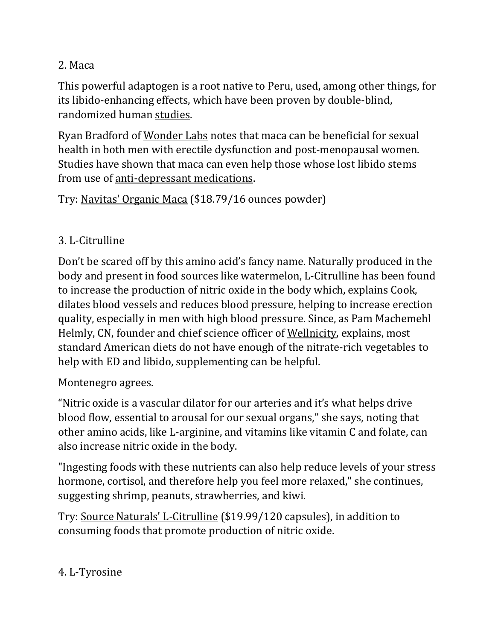#### 2. Maca

This powerful adaptogen is a root native to Peru, used, among other things, for its libido-enhancing effects, which have been proven by double-blind, randomized human [studies.](https://www.ncbi.nlm.nih.gov/pmc/articles/PMC3614644/)

Ryan Bradford of [Wonder Labs](http://www.wonderlabs.com/) notes that maca can be beneficial for sexual health in both men with erectile dysfunction and post-menopausal women. Studies have shown that maca can even help those whose lost libido stems from use of [anti-depressant medications.](https://www.ncbi.nlm.nih.gov/pmc/articles/PMC6494062/)

Try: [Navitas' Organic Maca](https://rstyle.me/+PzWA7wfr_a21K-mQztIOfA) (\$18.79/16 ounces powder)

### 3. L-Citrulline

Don't be scared off by this amino acid's fancy name. Naturally produced in the body and present in food sources like watermelon, L-Citrulline has been found to increase the production of nitric oxide in the body which, explains Cook, dilates blood vessels and reduces blood pressure, helping to increase erection quality, especially in men with high blood pressure. Since, as Pam Machemehl Helmly, CN, founder and chief science officer of [Wellnicity,](https://www.wellnicity.com/) explains, most standard American diets do not have enough of the nitrate-rich vegetables to help with ED and libido, supplementing can be helpful.

Montenegro agrees.

"Nitric oxide is a vascular dilator for our arteries and it's what helps drive blood flow, essential to arousal for our sexual organs," she says, noting that other amino acids, like L-arginine, and vitamins like vitamin C and folate, can also increase nitric oxide in the body.

"Ingesting foods with these nutrients can also help reduce levels of your stress hormone, cortisol, and therefore help you feel more relaxed," she continues, suggesting shrimp, peanuts, strawberries, and kiwi.

Try: [Source Naturals' L-Citrulline](https://rstyle.me/+V54D9qEgEJhcOvk4sSI81g) (\$19.99/120 capsules), in addition to consuming foods that promote production of nitric oxide.

### 4. L-Tyrosine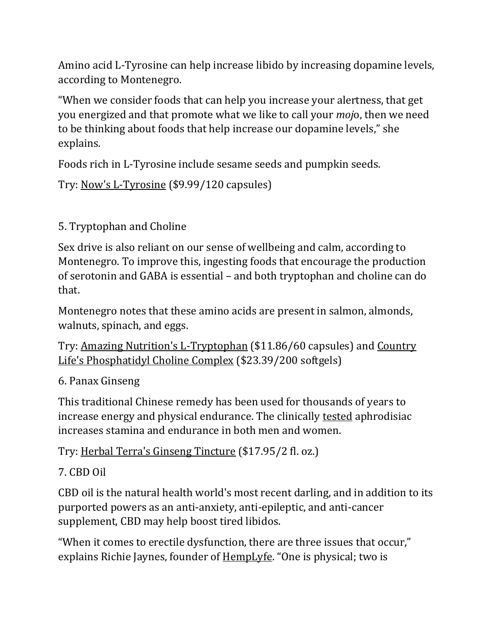Amino acid L-Tyrosine can help increase libido by increasing dopamine levels, according to Montenegro.

"When we consider foods that can help you increase your alertness, that get you energized and that promote what we like to call your *moj*o, then we need to be thinking about foods that help increase our dopamine levels," she explains.

Foods rich in L-Tyrosine include sesame seeds and pumpkin seeds.

Try: [Now's L-Tyrosine](https://rstyle.me/+-5owv_NspGMIIrgfoWKqLA) (\$9.99/120 capsules)

## 5. Tryptophan and Choline

Sex drive is also reliant on our sense of wellbeing and calm, according to Montenegro. To improve this, ingesting foods that encourage the production of serotonin and GABA is essential – and both tryptophan and choline can do that.

Montenegro notes that these amino acids are present in salmon, almonds, walnuts, spinach, and eggs.

Try: [Amazing Nutrition's L-Tryptophan](https://rstyle.me/+Nx-2iuggVPf-CMDziz1WkQ) (\$11.86/60 capsules) and [Country](https://rstyle.me/+MknlNbkMxvBamnJp_IKRBw)  [Life's Phosphatidyl Choline Complex](https://rstyle.me/+MknlNbkMxvBamnJp_IKRBw) (\$23.39/200 softgels)

## 6. Panax Ginseng

This traditional Chinese remedy has been used for thousands of years to increase energy and physical endurance. The clinically [tested](https://www.ncbi.nlm.nih.gov/pmc/articles/PMC3861174/) aphrodisiac increases stamina and endurance in both men and women.

Try: [Herbal Terra's Ginseng Tincture](https://rstyle.me/+-y6cpXkpozAXlfwjn0zZAQ) (\$17.95/2 fl. oz.)

## 7. CBD Oil

CBD oil is the natural health world's most recent darling, and in addition to its purported powers as an anti-anxiety, anti-epileptic, and anti-cancer supplement, CBD may help boost tired libidos.

"When it comes to erectile dysfunction, there are three issues that occur," explains Richie Jaynes, founder of [HempLyfe](https://hemplyfe.net/). "One is physical; two is